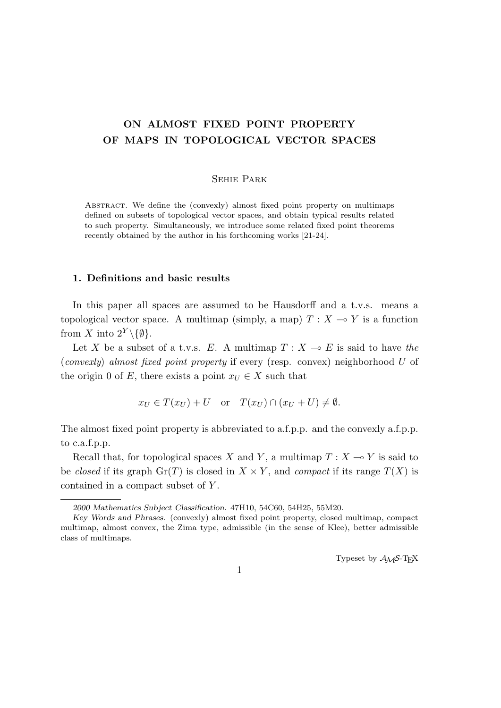# **ON ALMOST FIXED POINT PROPERTY OF MAPS IN TOPOLOGICAL VECTOR SPACES**

#### Sehie Park

Abstract. We define the (convexly) almost fixed point property on multimaps defined on subsets of topological vector spaces, and obtain typical results related to such property. Simultaneously, we introduce some related fixed point theorems recently obtained by the author in his forthcoming works [21-24].

#### **1. Definitions and basic results**

In this paper all spaces are assumed to be Hausdorff and a t.v.s. means a topological vector space. A multimap (simply, a map)  $T : X \to Y$  is a function from *X* into  $2^Y \setminus \{\emptyset\}$ .

Let *X* be a subset of a t.v.s. *E*. A multimap  $T : X \to E$  is said to have the (*convexly*) *almost fixed point property* if every (resp. convex) neighborhood *U* of the origin 0 of *E*, there exists a point  $x_U \in X$  such that

$$
x_U \in T(x_U) + U
$$
 or  $T(x_U) \cap (x_U + U) \neq \emptyset$ .

The almost fixed point property is abbreviated to a.f.p.p. and the convexly a.f.p.p. to c.a.f.p.p.

Recall that, for topological spaces *X* and *Y*, a multimap  $T : X \to Y$  is said to be *closed* if its graph  $\text{Gr}(T)$  is closed in  $X \times Y$ , and *compact* if its range  $T(X)$  is contained in a compact subset of *Y* .

Typeset by  $A_{\mathcal{M}}S$ -T<sub>E</sub>X

*<sup>2000</sup> Mathematics Subject Classification*. 47H10, 54C60, 54H25, 55M20.

*Key Words and Phrases*. (convexly) almost fixed point property, closed multimap, compact multimap, almost convex, the Zima type, admissible (in the sense of Klee), better admissible class of multimaps.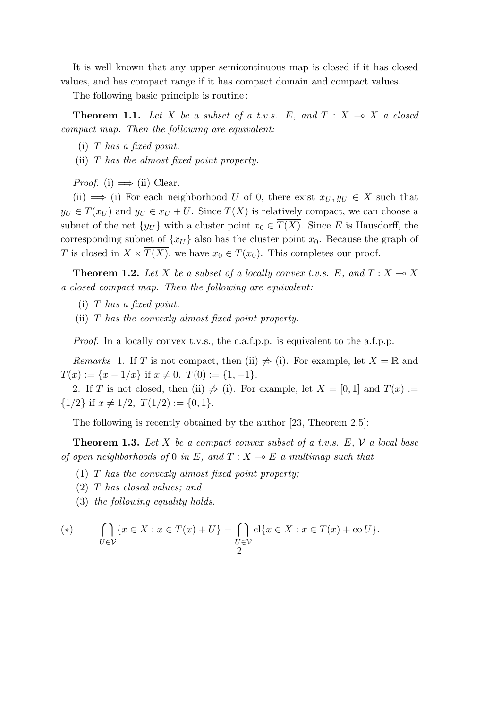It is well known that any upper semicontinuous map is closed if it has closed values, and has compact range if it has compact domain and compact values.

The following basic principle is routine :

**Theorem 1.1.** Let X be a subset of a t.v.s. E, and  $T: X \rightarrow X$  a closed *compact map. Then the following are equivalent:*

(i) *T has a fixed point.*

(ii) *T has the almost fixed point property.*

*Proof.* (i)  $\implies$  (ii) Clear.

(ii)  $\implies$  (i) For each neighborhood *U* of 0, there exist  $x_U, y_U \in X$  such that  $y_U \in T(x_U)$  and  $y_U \in x_U + U$ . Since  $T(X)$  is relatively compact, we can choose a subnet of the net  $\{y_U\}$  with a cluster point  $x_0 \in T(X)$ . Since *E* is Hausdorff, the corresponding subnet of  $\{x_U\}$  also has the cluster point  $x_0$ . Because the graph of *T* is closed in  $X \times \overline{T(X)}$ , we have  $x_0 \in T(x_0)$ . This completes our proof.

**Theorem 1.2.** Let *X* be a subset of a locally convex t.v.s. E, and  $T : X \to X$ *a closed compact map. Then the following are equivalent:*

- (i) *T has a fixed point.*
- (ii) *T has the convexly almost fixed point property.*

*Proof.* In a locally convex t.v.s., the c.a.f.p.p. is equivalent to the a.f.p.p.

*Remarks* 1. If *T* is not compact, then (ii)  $\neq$  (i). For example, let  $X = \mathbb{R}$  and  $T(x) := \{x - 1/x\}$  if  $x \neq 0$ ,  $T(0) := \{1, -1\}.$ 

2. If *T* is not closed, then (ii)  $\neq$  (i). For example, let  $X = [0, 1]$  and  $T(x) :=$  ${1/2}$  if  $x \neq 1/2$ ,  $T(1/2) := \{0, 1\}.$ 

The following is recently obtained by the author [23, Theorem 2.5]:

**Theorem 1.3.** *Let X be a compact convex subset of a t.v.s. E, V a local base of open neighborhoods of* 0 *in*  $E$ *, and*  $T : X \rightarrow E$  *a multimap such that* 

- (1) *T has the convexly almost fixed point property;*
- (2) *T has closed values; and*
- (3) *the following equality holds.*

$$
(*) \qquad \bigcap_{U \in \mathcal{V}} \{x \in X : x \in T(x) + U\} = \bigcap_{\substack{U \in \mathcal{V}} \text{cl}\{x \in X : x \in T(x) + \text{co}\,U\}}.
$$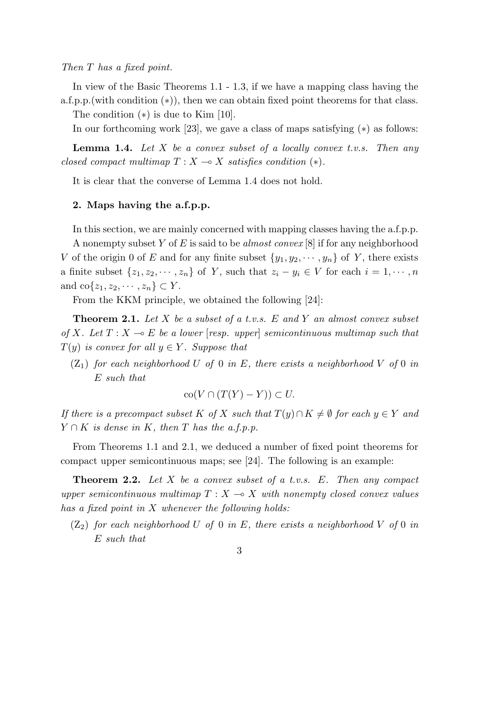*Then T has a fixed point.*

In view of the Basic Theorems 1.1 - 1.3, if we have a mapping class having the a.f.p.p.(with condition (*∗*)), then we can obtain fixed point theorems for that class.

The condition (*∗*) is due to Kim [10].

In our forthcoming work [23], we gave a class of maps satisfying (*∗*) as follows:

**Lemma 1.4.** *Let X be a convex subset of a locally convex t.v.s. Then any closed compact multimap*  $T: X \rightarrow X$  *satisfies condition* (\*).

It is clear that the converse of Lemma 1.4 does not hold.

### **2. Maps having the a.f.p.p.**

In this section, we are mainly concerned with mapping classes having the a.f.p.p.

A nonempty subset *Y* of *E* is said to be *almost convex* [8] if for any neighborhood *V* of the origin 0 of *E* and for any finite subset  $\{y_1, y_2, \dots, y_n\}$  of *Y*, there exists a finite subset  $\{z_1, z_2, \dots, z_n\}$  of Y, such that  $z_i - y_i \in V$  for each  $i = 1, \dots, n$ and  $\text{co}\{z_1, z_2, \cdots, z_n\} \subset Y$ .

From the KKM principle, we obtained the following [24]:

**Theorem 2.1.** *Let X be a subset of a t.v.s. E and Y an almost convex subset of*  $X$ *. Let*  $T: X \rightarrow E$  *be a lower* [*resp. upper*] *semicontinuous multimap such that*  $T(y)$  *is convex for all*  $y \in Y$ *. Suppose that* 

 $(Z_1)$  *for each neighborhood U of* 0 *in E, there exists a neighborhood V of* 0 *in E such that*

$$
co(V \cap (T(Y) - Y)) \subset U.
$$

*If there is a precompact subset K of X such that*  $T(y) \cap K \neq \emptyset$  *for each*  $y \in Y$  *and*  $Y \cap K$  *is dense in*  $K$ *, then*  $T$  *has the a.f.p.p.* 

From Theorems 1.1 and 2.1, we deduced a number of fixed point theorems for compact upper semicontinuous maps; see [24]. The following is an example:

**Theorem 2.2.** *Let X be a convex subset of a t.v.s. E. Then any compact upper semicontinuous multimap*  $T : X \rightarrow X$  *with nonempty closed convex values has a fixed point in X whenever the following holds:*

- $(Z_2)$  *for each neighborhood U of* 0 *in E, there exists a neighborhood V of* 0 *in E such that*
	- 3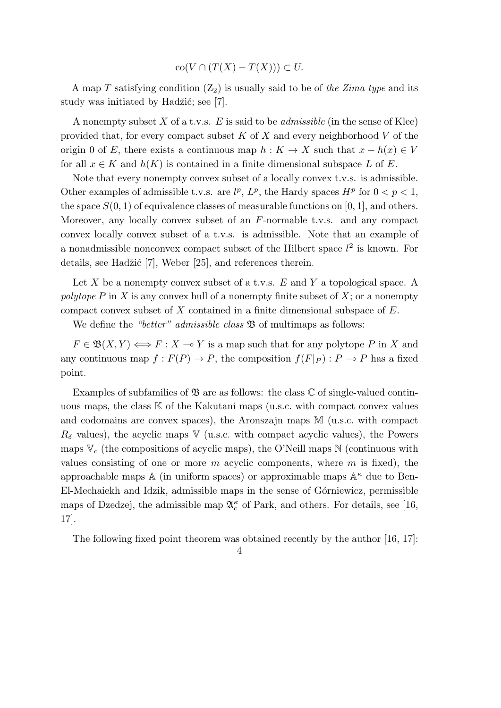$$
co(V \cap (T(X) - T(X))) \subset U.
$$

A map *T* satisfying condition  $(Z_2)$  is usually said to be of the Zima type and its study was initiated by Hadžić; see  $[7]$ .

A nonempty subset *X* of a t.v.s. *E* is said to be *admissible* (in the sense of Klee) provided that, for every compact subset *K* of *X* and every neighborhood *V* of the origin 0 of *E*, there exists a continuous map  $h: K \to X$  such that  $x - h(x) \in V$ for all  $x \in K$  and  $h(K)$  is contained in a finite dimensional subspace  $L$  of  $E$ .

Note that every nonempty convex subset of a locally convex t.v.s. is admissible. Other examples of admissible t.v.s. are  $l^p$ ,  $L^p$ , the Hardy spaces  $H^p$  for  $0 < p < 1$ , the space  $S(0, 1)$  of equivalence classes of measurable functions on [0, 1], and others. Moreover, any locally convex subset of an *F*-normable t.v.s. and any compact convex locally convex subset of a t.v.s. is admissible. Note that an example of a nonadmissible nonconvex compact subset of the Hilbert space  $l^2$  is known. For details, see Hadžić [7], Weber [25], and references therein.

Let *X* be a nonempty convex subset of a t.v.s. *E* and *Y* a topological space. A *polytope P* in *X* is any convex hull of a nonempty finite subset of *X*; or a nonempty compact convex subset of *X* contained in a finite dimensional subspace of *E*.

We define the *"better" admissible class*  $\mathfrak{B}$  of multimaps as follows:

 $F \in \mathfrak{B}(X, Y) \Longleftrightarrow F : X \to Y$  is a map such that for any polytope *P* in *X* and any continuous map  $f: F(P) \to P$ , the composition  $f(F|_P): P \to P$  has a fixed point.

Examples of subfamilies of  $\mathfrak{B}$  are as follows: the class  $\mathbb C$  of single-valued continuous maps, the class  $K$  of the Kakutani maps (u.s.c. with compact convex values and codomains are convex spaces), the Aronszajn maps M (u.s.c. with compact  $R_\delta$  values), the acyclic maps V (u.s.c. with compact acyclic values), the Powers maps  $V_c$  (the compositions of acyclic maps), the O'Neill maps  $N$  (continuous with values consisting of one or more *m* acyclic components, where *m* is fixed), the approachable maps  $\mathbb A$  (in uniform spaces) or approximable maps  $\mathbb A^\kappa$  due to Ben-El-Mechaiekh and Idzik, admissible maps in the sense of Górniewicz, permissible maps of Dzedzej, the admissible map  $\mathfrak{A}_{c}^{\kappa}$  of Park, and others. For details, see [16, 17].

The following fixed point theorem was obtained recently by the author [16, 17]:

<sup>4</sup>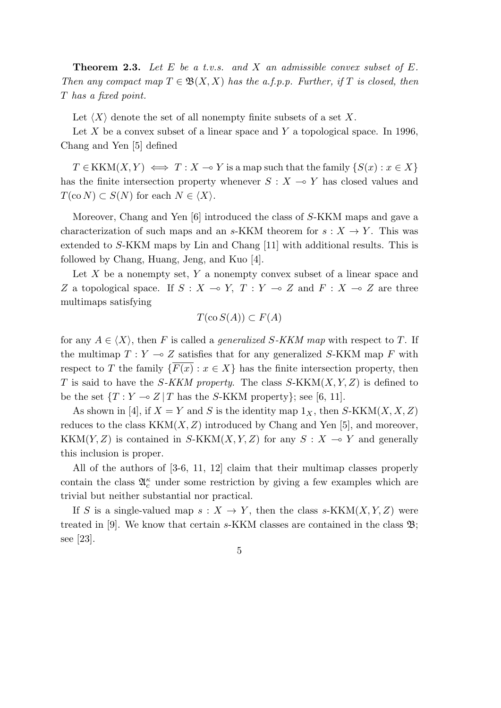**Theorem 2.3.** *Let E be a t.v.s. and X an admissible convex subset of E. Then any compact map*  $T \in \mathfrak{B}(X,X)$  *has the a.f.p.p. Further, if T is closed, then T has a fixed point.*

Let  $\langle X \rangle$  denote the set of all nonempty finite subsets of a set X.

Let *X* be a convex subset of a linear space and *Y* a topological space. In 1996, Chang and Yen [5] defined

 $T \in KKM(X, Y) \iff T : X \to Y$  is a map such that the family  $\{S(x) : x \in X\}$ has the finite intersection property whenever  $S: X \rightarrow Y$  has closed values and  $T(\text{co } N) \subset S(N)$  for each  $N \in \langle X \rangle$ .

Moreover, Chang and Yen [6] introduced the class of *S*-KKM maps and gave a characterization of such maps and an *s*-KKM theorem for  $s: X \to Y$ . This was extended to *S*-KKM maps by Lin and Chang [11] with additional results. This is followed by Chang, Huang, Jeng, and Kuo [4].

Let *X* be a nonempty set, *Y* a nonempty convex subset of a linear space and *Z* a topological space. If  $S: X \to Y$ ,  $T: Y \to Z$  and  $F: X \to Z$  are three multimaps satisfying

$$
T(\text{co } S(A)) \subset F(A)
$$

for any  $A \in \langle X \rangle$ , then *F* is called a *generalized S*-*KKM* map with respect to *T*. If the multimap  $T: Y \to Z$  satisfies that for any generalized *S*-KKM map *F* with respect to *T* the family  $\{F(x) : x \in X\}$  has the finite intersection property, then *T* is said to have the *S-KKM property*. The class *S*-KKM(*X, Y, Z*) is defined to be the set  $\{T: Y \to Z \mid T \text{ has the } S\text{-KKM property}\}$ ; see [6, 11].

As shown in [4], if  $X = Y$  and *S* is the identity map  $1_X$ , then *S*-KKM(*X, X, Z*) reduces to the class  $KKM(X, Z)$  introduced by Chang and Yen [5], and moreover, KKM $(Y, Z)$  is contained in *S*-KKM $(X, Y, Z)$  for any  $S: X \rightarrow Y$  and generally this inclusion is proper.

All of the authors of [3-6, 11, 12] claim that their multimap classes properly contain the class  $\mathfrak{A}_{c}^{\kappa}$  under some restriction by giving a few examples which are trivial but neither substantial nor practical.

If *S* is a single-valued map  $s: X \to Y$ , then the class *s*-KKM(*X,Y, Z*) were treated in [9]. We know that certain *s*-KKM classes are contained in the class B; see [23].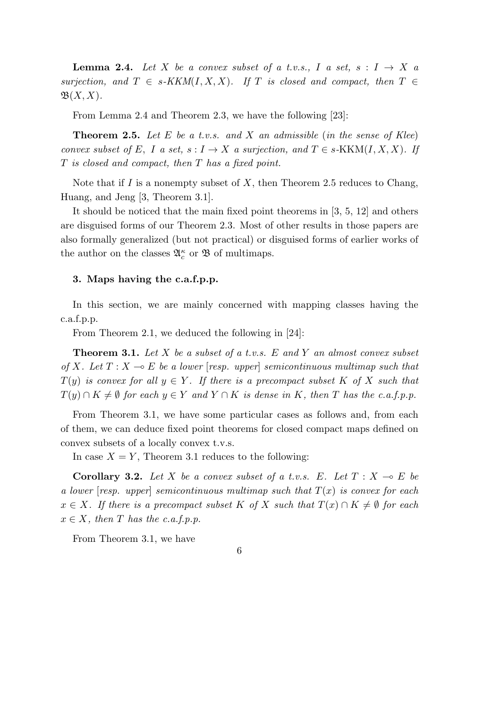**Lemma 2.4.** *Let*  $X$  *be a convex subset of a t.v.s.,*  $I$  *a set,*  $s: I \rightarrow X$  *a surjection, and*  $T \in s$ *-KKM*(*I, X, X*)*. If T is closed and compact, then*  $T \in$  $\mathfrak{B}(X,X)$ .

From Lemma 2.4 and Theorem 2.3, we have the following [23]:

**Theorem 2.5.** *Let E be a t.v.s. and X an admissible* (*in the sense of Klee*) *convex subset of*  $E$ ,  $I$  *a set,*  $s: I \to X$  *a surjection, and*  $T \in s$ -KKM $(I, X, X)$ *. If T is closed and compact, then T has a fixed point.*

Note that if *I* is a nonempty subset of *X*, then Theorem 2.5 reduces to Chang, Huang, and Jeng [3, Theorem 3.1].

It should be noticed that the main fixed point theorems in [3, 5, 12] and others are disguised forms of our Theorem 2.3. Most of other results in those papers are also formally generalized (but not practical) or disguised forms of earlier works of the author on the classes  $\mathfrak{A}_{c}^{\kappa}$  or  $\mathfrak{B}$  of multimaps.

### **3. Maps having the c.a.f.p.p.**

In this section, we are mainly concerned with mapping classes having the c.a.f.p.p.

From Theorem 2.1, we deduced the following in [24]:

**Theorem 3.1.** *Let X be a subset of a t.v.s. E and Y an almost convex subset of X. Let*  $T: X \rightarrow E$  *be a lower* [*resp. upper*] *semicontinuous multimap such that*  $T(y)$  *is convex for all*  $y \in Y$ *. If there is a precompact subset*  $K$  *of*  $X$  *such that T*(*y*)  $\cap$  *K*  $\neq$  *Ø for each y*  $\in$  *Y and Y*  $\cap$  *K is dense in K*, then *T has the c.a.f.p.p.* 

From Theorem 3.1, we have some particular cases as follows and, from each of them, we can deduce fixed point theorems for closed compact maps defined on convex subsets of a locally convex t.v.s.

In case  $X = Y$ , Theorem 3.1 reduces to the following:

**Corollary 3.2.** Let X be a convex subset of a t.v.s. E. Let  $T : X \to E$  be *a lower* [*resp. upper*] *semicontinuous multimap such that T*(*x*) *is convex for each*  $x \in X$ *. If there is a precompact subset K of X such that*  $T(x) \cap K \neq \emptyset$  *for each*  $x \in X$ *, then T has the c.a.f.p.p.* 

From Theorem 3.1, we have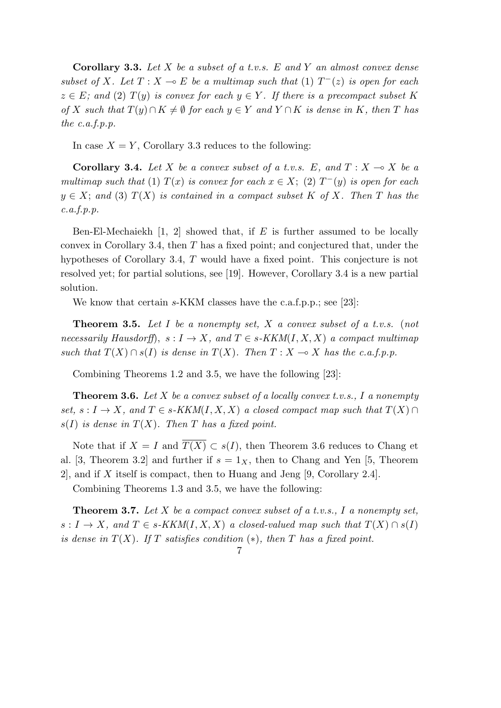**Corollary 3.3.** *Let X be a subset of a t.v.s. E and Y an almost convex dense subset of X. Let*  $T: X \to E$  *be a multimap such that* (1)  $T^-(z)$  *is open for each*  $z \in E$ ; and (2)  $T(y)$  is convex for each  $y \in Y$ . If there is a precompact subset K of X such that  $T(y) \cap K \neq \emptyset$  for each  $y \in Y$  and  $Y \cap K$  is dense in K, then T has *the c.a.f.p.p.*

In case  $X = Y$ , Corollary 3.3 reduces to the following:

**Corollary 3.4.** Let *X* be a convex subset of a t.v.s. E, and  $T: X \to X$  be a *multimap such that* (1)  $T(x)$  *is convex for each*  $x \in X$ ; (2)  $T^-(y)$  *is open for each*  $y \in X$ ; and (3)  $T(X)$  is contained in a compact subset K of X. Then T has the *c.a.f.p.p.*

Ben-El-Mechaiekh [1, 2] showed that, if *E* is further assumed to be locally convex in Corollary 3.4, then *T* has a fixed point; and conjectured that, under the hypotheses of Corollary 3.4, *T* would have a fixed point. This conjecture is not resolved yet; for partial solutions, see [19]. However, Corollary 3.4 is a new partial solution.

We know that certain *s*-KKM classes have the c.a.f.p.p.; see [23]:

**Theorem 3.5.** *Let I be a nonempty set, X a convex subset of a t.v.s.* (*not necessarily Hausdorff*)*,*  $s: I \rightarrow X$ *, and*  $T \in s$ *-KKM*(*I, X, X*) *a compact multimap such that*  $T(X) \cap s(I)$  *is dense in*  $T(X)$ *. Then*  $T: X \to X$  *has the c.a.f.p.p.* 

Combining Theorems 1.2 and 3.5, we have the following [23]:

**Theorem 3.6.** *Let X be a convex subset of a locally convex t.v.s., I a nonempty*  $set, s: I \rightarrow X$ , and  $T \in s$ -KKM(*I, X, X*) a closed compact map such that  $T(X) \cap T(Y)$  $s(I)$  *is dense in*  $T(X)$ *. Then T has a fixed point.* 

Note that if  $X = I$  and  $\overline{T(X)} \subset s(I)$ , then Theorem 3.6 reduces to Chang et al. [3, Theorem 3.2] and further if  $s = 1<sub>X</sub>$ , then to Chang and Yen [5, Theorem 2], and if *X* itself is compact, then to Huang and Jeng [9, Corollary 2.4].

Combining Theorems 1.3 and 3.5, we have the following:

**Theorem 3.7.** *Let X be a compact convex subset of a t.v.s., I a nonempty set,*  $s: I \to X$ , and  $T \in s$ -KKM(*I,X,X*) a closed-valued map such that  $T(X) \cap s(I)$ *is dense in*  $T(X)$ *. If T satisfies condition* (\*), then *T* has a fixed point.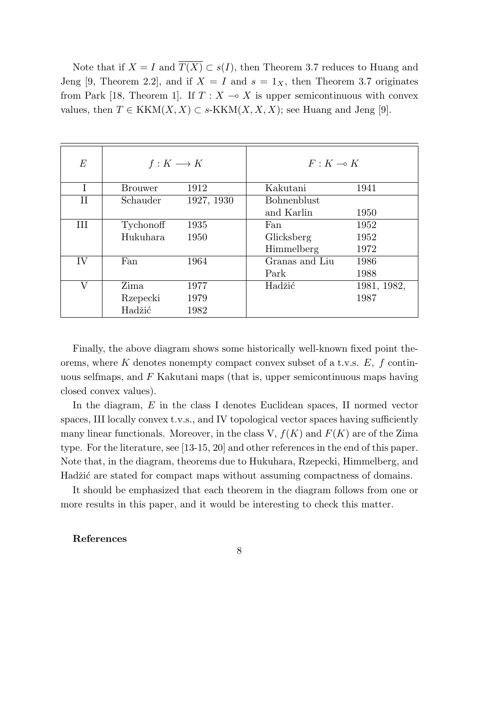Note that if  $X = I$  and  $\overline{T(X)} \subset s(I)$ , then Theorem 3.7 reduces to Huang and Jeng [9, Theorem 2.2], and if  $X = I$  and  $s = 1_X$ , then Theorem 3.7 originates from Park [18, Theorem 1]. If  $T : X \to X$  is upper semicontinuous with convex values, then *T* ∈ KKM(*X, X*) ⊂ *s*-KKM(*X, X, X*); see Huang and Jeng [9].

| $E\,$       | $f: K \longrightarrow K$ |            | $F: K \rightarrow K$ |             |
|-------------|--------------------------|------------|----------------------|-------------|
|             | <b>Brouwer</b>           | 1912       | Kakutani             | 1941        |
| $_{\rm II}$ | Schauder                 | 1927, 1930 | <b>Bohnenblust</b>   |             |
|             |                          |            | and Karlin           | 1950        |
| III         | Tychonoff                | 1935       | Fan                  | 1952        |
|             | Hukuhara                 | 1950       | Glicksberg           | 1952        |
|             |                          |            | Himmelberg           | 1972        |
| IV          | Fan                      | 1964       | Granas and Liu       | 1986        |
|             |                          |            | Park                 | 1988        |
|             | Zima                     | 1977       | Hadžić               | 1981, 1982, |
|             | Rzepecki                 | 1979       |                      | 1987        |
|             | Hadžić                   | 1982       |                      |             |

Finally, the above diagram shows some historically well-known fixed point theorems, where *K* denotes nonempty compact convex subset of a t.v.s. *E, f* continuous selfmaps, and *F* Kakutani maps (that is, upper semicontinuous maps having closed convex values).

In the diagram, *E* in the class I denotes Euclidean spaces, II normed vector spaces, III locally convex t.v.s., and IV topological vector spaces having sufficiently many linear functionals. Moreover, in the class V,  $f(K)$  and  $F(K)$  are of the Zima type. For the literature, see [13-15, 20] and other references in the end of this paper. Note that, in the diagram, theorems due to Hukuhara, Rzepecki, Himmelberg, and Hadžić are stated for compact maps without assuming compactness of domains.

It should be emphasized that each theorem in the diagram follows from one or more results in this paper, and it would be interesting to check this matter.

### **References**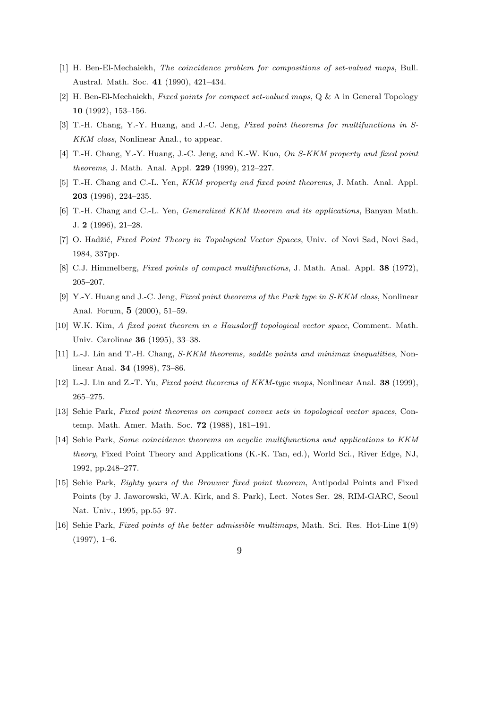- [1] H. Ben-El-Mechaiekh, *The coincidence problem for compositions of set-valued maps*, Bull. Austral. Math. Soc. **41** (1990), 421–434.
- [2] H. Ben-El-Mechaiekh, *Fixed points for compact set-valued maps*, Q & A in General Topology **10** (1992), 153–156.
- [3] T.-H. Chang, Y.-Y. Huang, and J.-C. Jeng, *Fixed point theorems for multifunctions in S-KKM class*, Nonlinear Anal., to appear.
- [4] T.-H. Chang, Y.-Y. Huang, J.-C. Jeng, and K.-W. Kuo, *On S-KKM property and fixed point theorems*, J. Math. Anal. Appl. **229** (1999), 212–227.
- [5] T.-H. Chang and C.-L. Yen, *KKM property and fixed point theorems*, J. Math. Anal. Appl. **203** (1996), 224–235.
- [6] T.-H. Chang and C.-L. Yen, *Generalized KKM theorem and its applications*, Banyan Math. J. **2** (1996), 21–28.
- [7] O. Hadžić, *Fixed Point Theory in Topological Vector Spaces*, Univ. of Novi Sad, Novi Sad, 1984, 337pp.
- [8] C.J. Himmelberg, *Fixed points of compact multifunctions*, J. Math. Anal. Appl. **38** (1972), 205–207.
- [9] Y.-Y. Huang and J.-C. Jeng, *Fixed point theorems of the Park type in S-KKM class*, Nonlinear Anal. Forum, **5** (2000), 51–59.
- [10] W.K. Kim, *A fixed point theorem in a Hausdorff topological vector space*, Comment. Math. Univ. Carolinae **36** (1995), 33–38.
- [11] L.-J. Lin and T.-H. Chang, *S-KKM theorems, saddle points and minimax inequalities*, Nonlinear Anal. **34** (1998), 73–86.
- [12] L.-J. Lin and Z.-T. Yu, *Fixed point theorems of KKM-type maps*, Nonlinear Anal. **38** (1999), 265–275.
- [13] Sehie Park, *Fixed point theorems on compact convex sets in topological vector spaces*, Contemp. Math. Amer. Math. Soc. **72** (1988), 181–191.
- [14] Sehie Park, *Some coincidence theorems on acyclic multifunctions and applications to KKM theory*, Fixed Point Theory and Applications (K.-K. Tan, ed.), World Sci., River Edge, NJ, 1992, pp.248–277.
- [15] Sehie Park, *Eighty years of the Brouwer fixed point theorem*, Antipodal Points and Fixed Points (by J. Jaworowski, W.A. Kirk, and S. Park), Lect. Notes Ser. 28, RIM-GARC, Seoul Nat. Univ., 1995, pp.55–97.
- [16] Sehie Park, *Fixed points of the better admissible multimaps*, Math. Sci. Res. Hot-Line **1**(9)  $(1997), 1-6.$